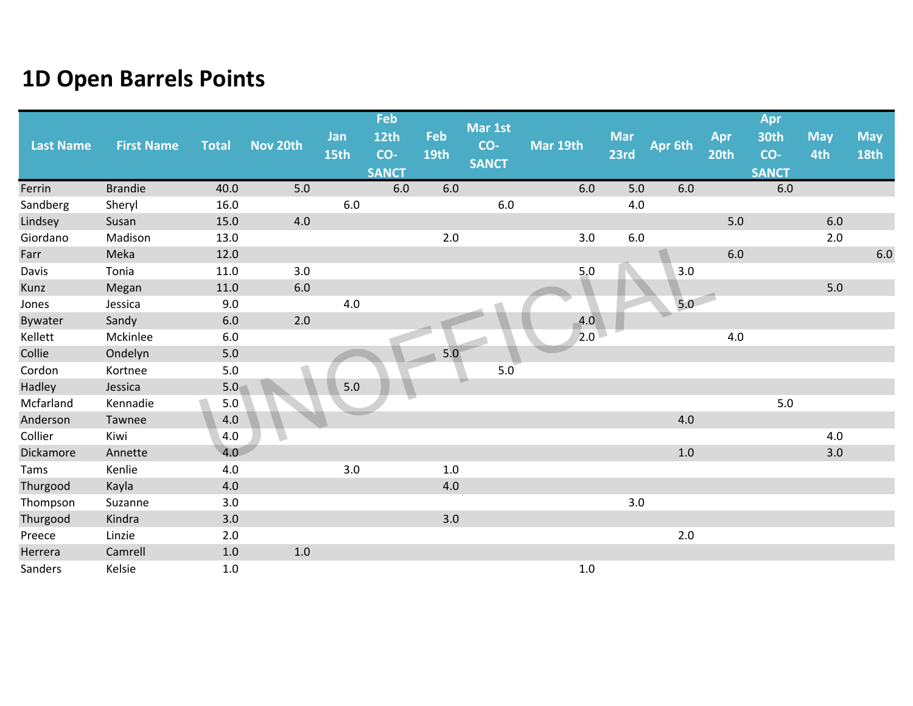| <b>Last Name</b> | <b>First Name</b> | <b>Total</b>     | Nov 20th | Jan<br>15th | <b>Feb</b><br><b>12th</b><br>CO- | Feb<br>19th | Mar 1st<br>CO-<br><b>SANCT</b> | Mar 19th | <b>Mar</b><br>23rd | Apr 6th | Apr<br>20th | Apr<br><b>30th</b><br>CO- | <b>May</b><br>4th | <b>May</b><br><b>18th</b> |
|------------------|-------------------|------------------|----------|-------------|----------------------------------|-------------|--------------------------------|----------|--------------------|---------|-------------|---------------------------|-------------------|---------------------------|
|                  |                   |                  |          |             | <b>SANCT</b>                     |             |                                |          |                    |         |             | <b>SANCT</b>              |                   |                           |
| Ferrin           | <b>Brandie</b>    | 40.0             | 5.0      |             | $6.0\,$                          | 6.0         |                                | 6.0      | $5.0\,$            | 6.0     |             | 6.0                       |                   |                           |
| Sandberg         | Sheryl            | 16.0             |          | 6.0         |                                  |             | $6.0\,$                        |          | 4.0                |         |             |                           |                   |                           |
| Lindsey          | Susan             | 15.0             | 4.0      |             |                                  |             |                                |          |                    |         | $5.0$       |                           | $6.0\,$           |                           |
| Giordano         | Madison           | 13.0             |          |             |                                  | 2.0         |                                | 3.0      | $6.0$              |         |             |                           | 2.0               |                           |
| Farr             | Meka              | 12.0             |          |             |                                  |             |                                |          |                    |         | 6.0         |                           |                   | $6.0\,$                   |
| Davis            | Tonia             | 11.0             | 3.0      |             |                                  |             |                                | 5.0      |                    | 3.0     |             |                           |                   |                           |
| Kunz             | Megan             | 11.0             | $6.0\,$  |             |                                  |             |                                |          |                    |         |             |                           | $5.0$             |                           |
| Jones            | Jessica           | 9.0              |          | $4.0\,$     |                                  |             |                                |          |                    | 5.0     |             |                           |                   |                           |
| Bywater          | Sandy             | 6.0              | $2.0$    |             |                                  |             |                                | 4.0      |                    |         |             |                           |                   |                           |
| Kellett          | Mckinlee          | $6.0\,$          |          |             |                                  |             |                                | 2.0      |                    |         | 4.0         |                           |                   |                           |
| Collie           | Ondelyn           | $5.0$            |          |             |                                  | 5.0         |                                |          |                    |         |             |                           |                   |                           |
| Cordon           | Kortnee           | 5.0              |          |             |                                  |             | 5.0                            |          |                    |         |             |                           |                   |                           |
| Hadley           | Jessica           | 5.0 <sub>1</sub> |          | $5.0$       |                                  |             |                                |          |                    |         |             |                           |                   |                           |
| Mcfarland        | Kennadie          | $5.0$            |          |             |                                  |             |                                |          |                    |         |             | $5.0$                     |                   |                           |
| Anderson         | Tawnee            | 4.0              |          |             |                                  |             |                                |          |                    | 4.0     |             |                           |                   |                           |
| Collier          | Kiwi              | 4.0              |          |             |                                  |             |                                |          |                    |         |             |                           | 4.0               |                           |
| Dickamore        | Annette           | 4.0              |          |             |                                  |             |                                |          |                    | 1.0     |             |                           | 3.0               |                           |
| Tams             | Kenlie            | 4.0              |          | 3.0         |                                  | 1.0         |                                |          |                    |         |             |                           |                   |                           |
| Thurgood         | Kayla             | 4.0              |          |             |                                  | 4.0         |                                |          |                    |         |             |                           |                   |                           |
| Thompson         | Suzanne           | 3.0              |          |             |                                  |             |                                |          | 3.0                |         |             |                           |                   |                           |
| Thurgood         | Kindra            | 3.0              |          |             |                                  | 3.0         |                                |          |                    |         |             |                           |                   |                           |
| Preece           | Linzie            | 2.0              |          |             |                                  |             |                                |          |                    | $2.0\,$ |             |                           |                   |                           |
| Herrera          | Camrell           | $1.0\,$          | $1.0$    |             |                                  |             |                                |          |                    |         |             |                           |                   |                           |
| Sanders          | Kelsie            | 1.0              |          |             |                                  |             |                                | $1.0$    |                    |         |             |                           |                   |                           |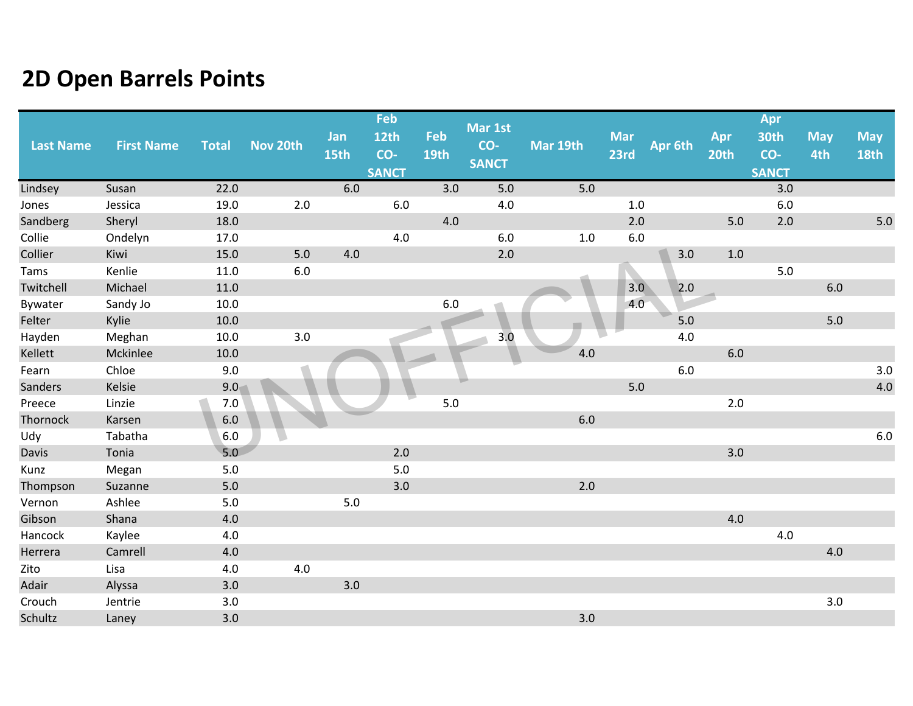| <b>Last Name</b> | <b>First Name</b> | <b>Total</b> | Nov 20th | Jan<br>15th | Feb<br>12th<br>CO- | Feb<br><b>19th</b> | Mar 1st<br>CO- | Mar 19th | <b>Mar</b><br>23rd | Apr 6th | Apr<br>20th | Apr<br>30th<br>CO- | <b>May</b><br>4th | <b>May</b><br><b>18th</b> |
|------------------|-------------------|--------------|----------|-------------|--------------------|--------------------|----------------|----------|--------------------|---------|-------------|--------------------|-------------------|---------------------------|
|                  |                   |              |          |             | <b>SANCT</b>       |                    | <b>SANCT</b>   |          |                    |         |             | <b>SANCT</b>       |                   |                           |
| Lindsey          | Susan             | 22.0         |          | 6.0         |                    | 3.0                | 5.0            | 5.0      |                    |         |             | 3.0                |                   |                           |
| Jones            | Jessica           | 19.0         | 2.0      |             | $6.0$              |                    | 4.0            |          | 1.0                |         |             | 6.0                |                   |                           |
| Sandberg         | Sheryl            | 18.0         |          |             |                    | $4.0\,$            |                |          | 2.0                |         | 5.0         | 2.0                |                   | 5.0                       |
| Collie           | Ondelyn           | 17.0         |          |             | 4.0                |                    | $6.0\,$        | $1.0\,$  | $6.0\,$            |         |             |                    |                   |                           |
| Collier          | Kiwi              | 15.0         | 5.0      | 4.0         |                    |                    | 2.0            |          |                    | 3.0     | $1.0$       |                    |                   |                           |
| Tams             | Kenlie            | 11.0         | 6.0      |             |                    |                    |                |          |                    |         |             | 5.0                |                   |                           |
| Twitchell        | Michael           | 11.0         |          |             |                    |                    |                |          | 3.0                | 2.0     |             |                    | 6.0               |                           |
| Bywater          | Sandy Jo          | 10.0         |          |             |                    | 6.0                |                |          | 4.0                |         |             |                    |                   |                           |
| Felter           | Kylie             | 10.0         |          |             |                    |                    |                |          |                    | $5.0$   |             |                    | $5.0$             |                           |
| Hayden           | Meghan            | 10.0         | 3.0      |             |                    |                    | 3.0            |          |                    | $4.0\,$ |             |                    |                   |                           |
| Kellett          | Mckinlee          | 10.0         |          |             |                    |                    |                | 4.0      |                    |         | 6.0         |                    |                   |                           |
| Fearn            | Chloe             | 9.0          |          |             |                    |                    |                |          |                    | $6.0$   |             |                    |                   | 3.0                       |
| Sanders          | Kelsie            | 9.0          |          |             |                    |                    |                |          | $5.0$              |         |             |                    |                   | 4.0                       |
| Preece           | Linzie            | $7.0$        |          |             |                    | 5.0                |                |          |                    |         | 2.0         |                    |                   |                           |
| Thornock         | Karsen            | $6.0\,$      |          |             |                    |                    |                | $6.0\,$  |                    |         |             |                    |                   |                           |
| Udy              | Tabatha           | 6.0          |          |             |                    |                    |                |          |                    |         |             |                    |                   | $6.0\,$                   |
| Davis            | Tonia             | 5.0          |          |             | 2.0                |                    |                |          |                    |         | 3.0         |                    |                   |                           |
| Kunz             | Megan             | 5.0          |          |             | 5.0                |                    |                |          |                    |         |             |                    |                   |                           |
| Thompson         | Suzanne           | $5.0$        |          |             | 3.0                |                    |                | 2.0      |                    |         |             |                    |                   |                           |
| Vernon           | Ashlee            | 5.0          |          | 5.0         |                    |                    |                |          |                    |         |             |                    |                   |                           |
| Gibson           | Shana             | 4.0          |          |             |                    |                    |                |          |                    |         | 4.0         |                    |                   |                           |
| Hancock          | Kaylee            | 4.0          |          |             |                    |                    |                |          |                    |         |             | 4.0                |                   |                           |
| Herrera          | Camrell           | 4.0          |          |             |                    |                    |                |          |                    |         |             |                    | 4.0               |                           |
| Zito             | Lisa              | 4.0          | 4.0      |             |                    |                    |                |          |                    |         |             |                    |                   |                           |
| Adair            | Alyssa            | 3.0          |          | 3.0         |                    |                    |                |          |                    |         |             |                    |                   |                           |
| Crouch           | Jentrie           | 3.0          |          |             |                    |                    |                |          |                    |         |             |                    | $3.0\,$           |                           |
| Schultz          | Laney             | 3.0          |          |             |                    |                    |                | 3.0      |                    |         |             |                    |                   |                           |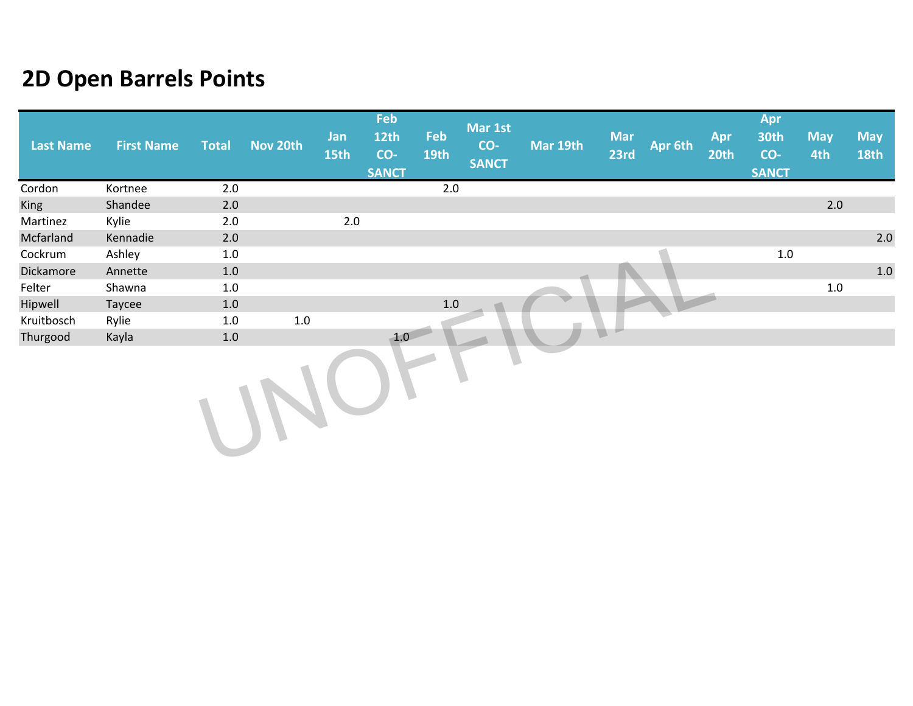| <b>Last Name</b> | <b>First Name</b> | <b>Total</b> | Nov 20th | Jan<br>15th | Feb<br><b>12th</b><br>CO-<br><b>SANCT</b> | Feb<br><b>19th</b> | Mar 1st<br>CO-<br><b>SANCT</b> | Mar 19th | <b>Mar</b><br>23rd | Apr 6th | Apr<br>20th | Apr<br>30th<br>CO-<br><b>SANCT</b> | <b>May</b><br>4th | <b>May</b><br><b>18th</b> |
|------------------|-------------------|--------------|----------|-------------|-------------------------------------------|--------------------|--------------------------------|----------|--------------------|---------|-------------|------------------------------------|-------------------|---------------------------|
| Cordon           | Kortnee           | 2.0          |          |             |                                           | 2.0                |                                |          |                    |         |             |                                    |                   |                           |
| <b>King</b>      | Shandee           | 2.0          |          |             |                                           |                    |                                |          |                    |         |             |                                    | $2.0$             |                           |
| Martinez         | Kylie             | 2.0          |          | $2.0\,$     |                                           |                    |                                |          |                    |         |             |                                    |                   |                           |
| Mcfarland        | Kennadie          | 2.0          |          |             |                                           |                    |                                |          |                    |         |             |                                    |                   | 2.0                       |
| Cockrum          | Ashley            | 1.0          |          |             |                                           |                    |                                |          |                    |         |             | $1.0\,$                            |                   |                           |
| Dickamore        | Annette           | 1.0          |          |             |                                           |                    |                                |          |                    |         |             |                                    |                   | 1.0                       |
| Felter           | Shawna            | 1.0          |          |             |                                           |                    |                                |          |                    |         |             |                                    | $1.0\,$           |                           |
| Hipwell          | Taycee            | 1.0          |          |             |                                           | $1.0\,$            |                                |          |                    |         |             |                                    |                   |                           |
| Kruitbosch       | Rylie             | 1.0          | $1.0\,$  |             |                                           |                    |                                |          |                    |         |             |                                    |                   |                           |
| Thurgood         | Kayla             | 1.0          |          |             | 1.0                                       |                    |                                |          |                    |         |             |                                    |                   |                           |
|                  |                   |              |          |             |                                           |                    |                                |          |                    |         |             |                                    |                   |                           |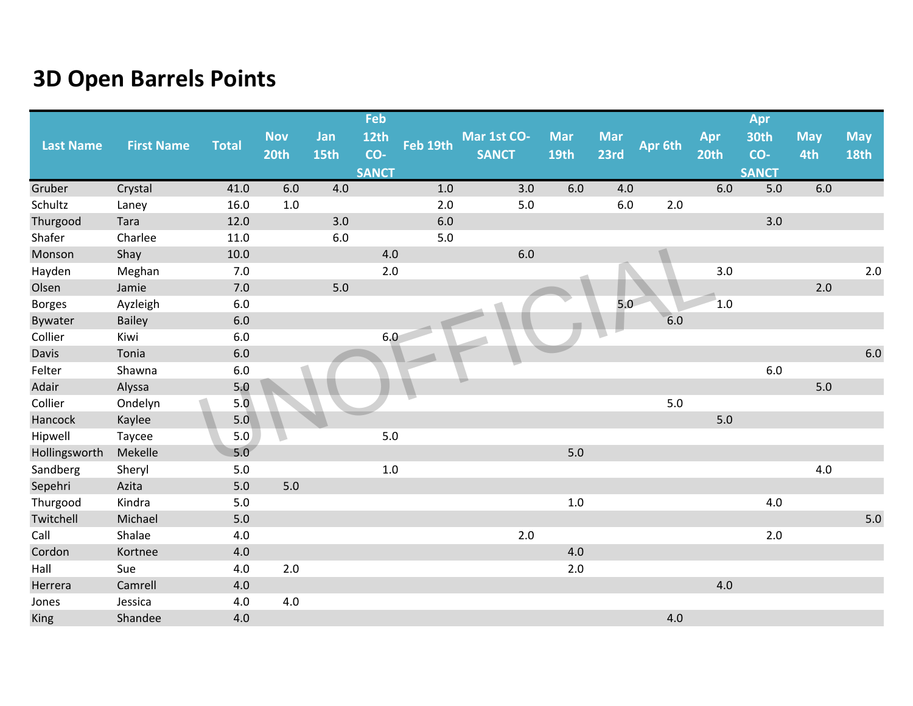|                  |                   |              |            |       | Feb          |          |              |            |            |         |      | Apr          |            |             |
|------------------|-------------------|--------------|------------|-------|--------------|----------|--------------|------------|------------|---------|------|--------------|------------|-------------|
| <b>Last Name</b> | <b>First Name</b> | <b>Total</b> | <b>Nov</b> | Jan   | <b>12th</b>  | Feb 19th | Mar 1st CO-  | <b>Mar</b> | <b>Mar</b> | Apr 6th | Apr  | <b>30th</b>  | <b>May</b> | <b>May</b>  |
|                  |                   |              | 20th       | 15th  | CO-          |          | <b>SANCT</b> | 19th       | 23rd       |         | 20th | CO-          | 4th        | <b>18th</b> |
|                  |                   |              |            |       | <b>SANCT</b> |          |              |            |            |         |      | <b>SANCT</b> |            |             |
| Gruber           | Crystal           | 41.0         | 6.0        | 4.0   |              | 1.0      | 3.0          | 6.0        | 4.0        |         | 6.0  | 5.0          | 6.0        |             |
| Schultz          | Laney             | 16.0         | 1.0        |       |              | 2.0      | 5.0          |            | 6.0        | 2.0     |      |              |            |             |
| Thurgood         | Tara              | 12.0         |            | 3.0   |              | 6.0      |              |            |            |         |      | 3.0          |            |             |
| Shafer           | Charlee           | 11.0         |            | 6.0   |              | 5.0      |              |            |            |         |      |              |            |             |
| Monson           | Shay              | 10.0         |            |       | 4.0          |          | 6.0          |            |            |         |      |              |            |             |
| Hayden           | Meghan            | 7.0          |            |       | 2.0          |          |              |            |            |         | 3.0  |              |            | $2.0$       |
| Olsen            | Jamie             | 7.0          |            | $5.0$ |              |          |              |            |            |         |      |              | 2.0        |             |
| <b>Borges</b>    | Ayzleigh          | $6.0\,$      |            |       |              |          |              |            | 5.0        |         | 1.0  |              |            |             |
| Bywater          | <b>Bailey</b>     | $6.0\,$      |            |       |              |          |              |            |            | 6.0     |      |              |            |             |
| Collier          | Kiwi              | $6.0\,$      |            |       | 6.0          |          |              |            |            |         |      |              |            |             |
| Davis            | Tonia             | 6.0          |            |       |              |          |              |            |            |         |      |              |            | $6.0\,$     |
| Felter           | Shawna            | $6.0\,$      |            |       |              |          |              |            |            |         |      | 6.0          |            |             |
| Adair            | Alyssa            | 5.0          |            |       |              |          |              |            |            |         |      |              | $5.0$      |             |
| Collier          | Ondelyn           | 5.0          |            |       |              |          |              |            |            | 5.0     |      |              |            |             |
| Hancock          | Kaylee            | 5.0          |            |       |              |          |              |            |            |         | 5.0  |              |            |             |
| Hipwell          | Taycee            | 5.0          |            |       | 5.0          |          |              |            |            |         |      |              |            |             |
| Hollingsworth    | Mekelle           | 5.0          |            |       |              |          |              | $5.0$      |            |         |      |              |            |             |
| Sandberg         | Sheryl            | $5.0$        |            |       | 1.0          |          |              |            |            |         |      |              | 4.0        |             |
| Sepehri          | Azita             | 5.0          | 5.0        |       |              |          |              |            |            |         |      |              |            |             |
| Thurgood         | Kindra            | $5.0$        |            |       |              |          |              | $1.0\,$    |            |         |      | 4.0          |            |             |
| Twitchell        | Michael           | 5.0          |            |       |              |          |              |            |            |         |      |              |            | 5.0         |
| Call             | Shalae            | 4.0          |            |       |              |          | 2.0          |            |            |         |      | 2.0          |            |             |
| Cordon           | Kortnee           | 4.0          |            |       |              |          |              | 4.0        |            |         |      |              |            |             |
| Hall             | Sue               | 4.0          | 2.0        |       |              |          |              | $2.0\,$    |            |         |      |              |            |             |
| Herrera          | Camrell           | 4.0          |            |       |              |          |              |            |            |         | 4.0  |              |            |             |
| Jones            | Jessica           | 4.0          | 4.0        |       |              |          |              |            |            |         |      |              |            |             |
| <b>King</b>      | Shandee           | 4.0          |            |       |              |          |              |            |            | 4.0     |      |              |            |             |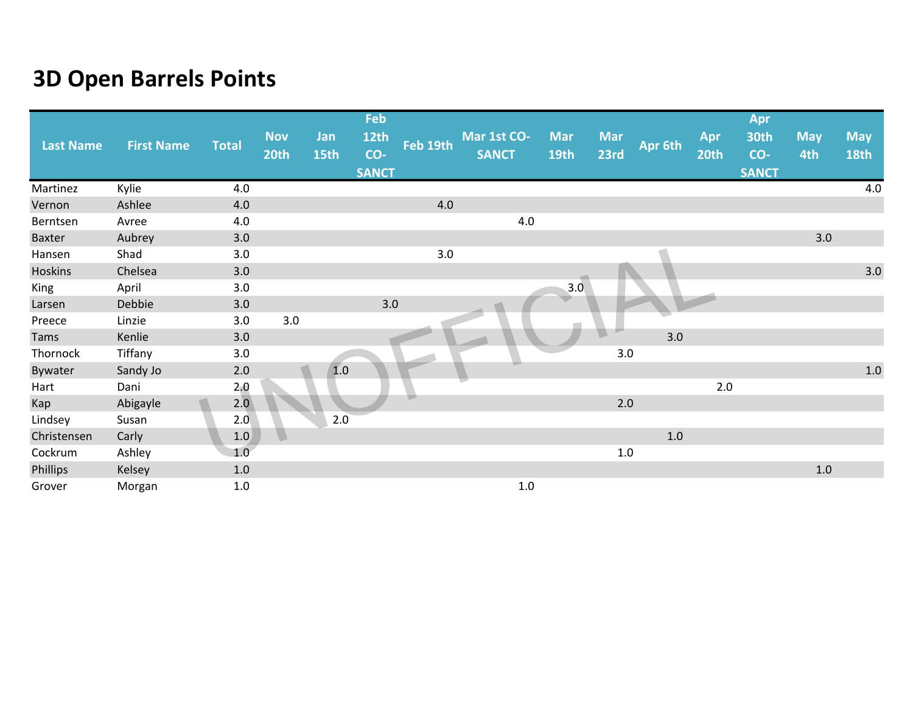|                  |                   |              |                    |             | Feb                         |          |                             |                    |                    |         |             | Apr                         |                   |                    |
|------------------|-------------------|--------------|--------------------|-------------|-----------------------------|----------|-----------------------------|--------------------|--------------------|---------|-------------|-----------------------------|-------------------|--------------------|
| <b>Last Name</b> | <b>First Name</b> | <b>Total</b> | <b>Nov</b><br>20th | Jan<br>15th | 12th<br>CO-<br><b>SANCT</b> | Feb 19th | Mar 1st CO-<br><b>SANCT</b> | <b>Mar</b><br>19th | <b>Mar</b><br>23rd | Apr 6th | Apr<br>20th | 30th<br>CO-<br><b>SANCT</b> | <b>May</b><br>4th | <b>May</b><br>18th |
| Martinez         | Kylie             | 4.0          |                    |             |                             |          |                             |                    |                    |         |             |                             |                   | 4.0                |
| Vernon           | Ashlee            | 4.0          |                    |             |                             | 4.0      |                             |                    |                    |         |             |                             |                   |                    |
| Berntsen         | Avree             | 4.0          |                    |             |                             |          | 4.0                         |                    |                    |         |             |                             |                   |                    |
| <b>Baxter</b>    | Aubrey            | 3.0          |                    |             |                             |          |                             |                    |                    |         |             |                             | 3.0               |                    |
| Hansen           | Shad              | 3.0          |                    |             |                             | 3.0      |                             |                    |                    |         |             |                             |                   |                    |
| Hoskins          | Chelsea           | 3.0          |                    |             |                             |          |                             |                    |                    |         |             |                             |                   | 3.0                |
| King             | April             | 3.0          |                    |             |                             |          |                             | 3.0                |                    |         |             |                             |                   |                    |
| Larsen           | Debbie            | 3.0          |                    |             | 3.0                         |          |                             |                    |                    |         |             |                             |                   |                    |
| Preece           | Linzie            | 3.0          | 3.0                |             |                             |          |                             |                    |                    |         |             |                             |                   |                    |
| Tams             | Kenlie            | 3.0          |                    |             |                             |          |                             |                    |                    | 3.0     |             |                             |                   |                    |
| Thornock         | Tiffany           | 3.0          |                    |             |                             |          |                             |                    | 3.0                |         |             |                             |                   |                    |
| Bywater          | Sandy Jo          | $2.0$        |                    | 1.0         |                             |          |                             |                    |                    |         |             |                             |                   | $1.0\,$            |
| Hart             | Dani              | 2,0          |                    |             |                             |          |                             |                    |                    |         | 2.0         |                             |                   |                    |
| Kap              | Abigayle          | 2.0          |                    |             |                             |          |                             |                    | 2.0                |         |             |                             |                   |                    |
| Lindsey          | Susan             | 2.0          |                    | 2.0         |                             |          |                             |                    |                    |         |             |                             |                   |                    |
| Christensen      | Carly             | 1.0          |                    |             |                             |          |                             |                    |                    | 1.0     |             |                             |                   |                    |
| Cockrum          | Ashley            | 1.0          |                    |             |                             |          |                             |                    | 1.0                |         |             |                             |                   |                    |
| Phillips         | Kelsey            | $1.0\,$      |                    |             |                             |          |                             |                    |                    |         |             |                             | $1.0\,$           |                    |
| Grover           | Morgan            | $1.0\,$      |                    |             |                             |          | $1.0\,$                     |                    |                    |         |             |                             |                   |                    |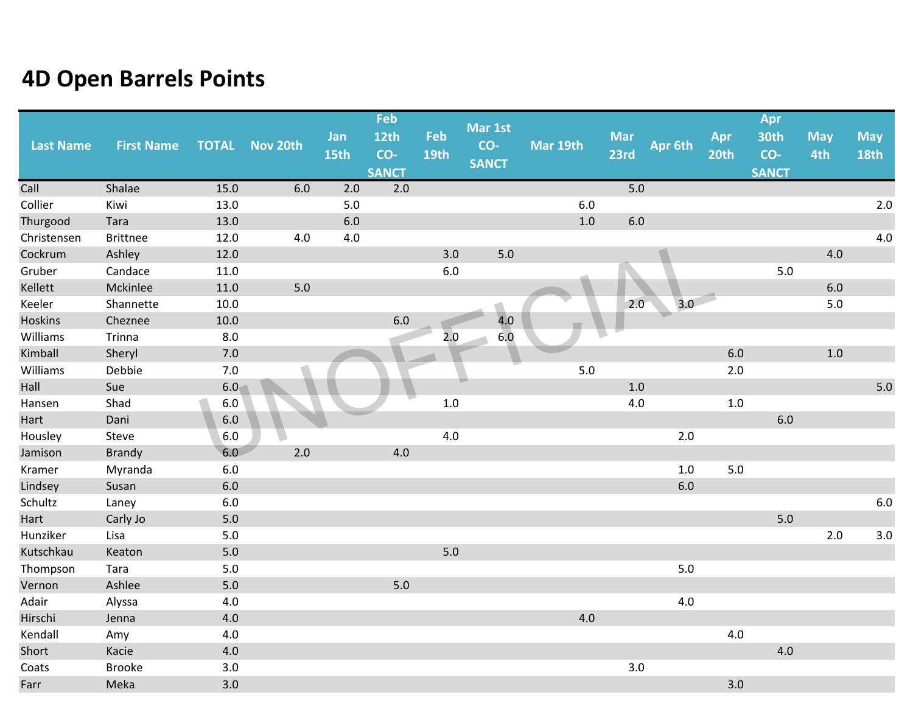| <b>Last Name</b> | <b>First Name</b> | <b>TOTAL</b> | Nov 20th | Jan<br>15th | Feb<br>12th<br>CO- | Feb<br><b>19th</b> | Mar 1st<br>CO-<br><b>SANCT</b> | Mar 19th | <b>Mar</b><br>23rd | Apr 6th | Apr<br>20th | Apr<br><b>30th</b><br>CO- | <b>May</b><br>4th | <b>May</b><br><b>18th</b> |
|------------------|-------------------|--------------|----------|-------------|--------------------|--------------------|--------------------------------|----------|--------------------|---------|-------------|---------------------------|-------------------|---------------------------|
|                  |                   |              |          |             | <b>SANCT</b>       |                    |                                |          |                    |         |             | <b>SANCT</b>              |                   |                           |
| Call             | Shalae            | 15.0         | 6.0      | 2.0         | 2.0                |                    |                                |          | 5.0                |         |             |                           |                   |                           |
| Collier          | Kiwi              | 13.0         |          | $5.0$       |                    |                    |                                | 6.0      |                    |         |             |                           |                   | 2.0                       |
| Thurgood         | Tara              | 13.0         |          | 6.0         |                    |                    |                                | 1.0      | $6.0\,$            |         |             |                           |                   |                           |
| Christensen      | <b>Brittnee</b>   | 12.0         | $4.0\,$  | 4.0         |                    |                    |                                |          |                    |         |             |                           |                   | 4.0                       |
| Cockrum          | Ashley            | 12.0         |          |             |                    | 3.0                | $5.0$                          |          |                    |         |             |                           | 4.0               |                           |
| Gruber           | Candace           | 11.0         |          |             |                    | $6.0\,$            |                                |          |                    |         |             | 5.0                       |                   |                           |
| Kellett          | Mckinlee          | 11.0         | $5.0$    |             |                    |                    |                                |          |                    |         |             |                           | $6.0\,$           |                           |
| Keeler           | Shannette         | 10.0         |          |             |                    |                    |                                |          | 2.0                | 3.0     |             |                           | $5.0$             |                           |
| Hoskins          | Cheznee           | 10.0         |          |             | 6.0                |                    | 4.0                            |          |                    |         |             |                           |                   |                           |
| Williams         | Trinna            | 8.0          |          |             |                    | 2.0                | 6.0                            |          |                    |         |             |                           |                   |                           |
| Kimball          | Sheryl            | 7.0          |          |             |                    |                    |                                |          |                    |         | 6.0         |                           | $1.0$             |                           |
| Williams         | Debbie            | 7.0          |          |             |                    |                    |                                | 5.0      |                    |         | 2.0         |                           |                   |                           |
| Hall             | Sue               | 6.0          |          |             |                    |                    |                                |          | 1.0                |         |             |                           |                   | 5.0                       |
| Hansen           | Shad              | $6.0\,$      |          |             |                    | $1.0\,$            |                                |          | 4.0                |         | $1.0\,$     |                           |                   |                           |
| Hart             | Dani              | $6.0\,$      |          |             |                    |                    |                                |          |                    |         |             | 6.0                       |                   |                           |
| Housley          | Steve             | 6.0          |          |             |                    | 4.0                |                                |          |                    | 2.0     |             |                           |                   |                           |
| Jamison          | <b>Brandy</b>     | 6.0          | 2.0      |             | 4.0                |                    |                                |          |                    |         |             |                           |                   |                           |
| Kramer           | Myranda           | 6.0          |          |             |                    |                    |                                |          |                    | $1.0\,$ | 5.0         |                           |                   |                           |
| Lindsey          | Susan             | $6.0\,$      |          |             |                    |                    |                                |          |                    | $6.0\,$ |             |                           |                   |                           |
| Schultz          | Laney             | 6.0          |          |             |                    |                    |                                |          |                    |         |             |                           |                   | $6.0\,$                   |
| Hart             | Carly Jo          | $5.0$        |          |             |                    |                    |                                |          |                    |         |             | 5.0                       |                   |                           |
| Hunziker         | Lisa              | $5.0$        |          |             |                    |                    |                                |          |                    |         |             |                           | 2.0               | $3.0\,$                   |
| Kutschkau        | Keaton            | $5.0$        |          |             |                    | 5.0                |                                |          |                    |         |             |                           |                   |                           |
| Thompson         | Tara              | $5.0$        |          |             |                    |                    |                                |          |                    | $5.0$   |             |                           |                   |                           |
| Vernon           | Ashlee            | $5.0$        |          |             | 5.0                |                    |                                |          |                    |         |             |                           |                   |                           |
| Adair            | Alyssa            | 4.0          |          |             |                    |                    |                                |          |                    | 4.0     |             |                           |                   |                           |
| Hirschi          | Jenna             | 4.0          |          |             |                    |                    |                                | 4.0      |                    |         |             |                           |                   |                           |
| Kendall          | Amy               | 4.0          |          |             |                    |                    |                                |          |                    |         | 4.0         |                           |                   |                           |
| Short            | Kacie             | 4.0          |          |             |                    |                    |                                |          |                    |         |             | 4.0                       |                   |                           |
| Coats            | <b>Brooke</b>     | 3.0          |          |             |                    |                    |                                |          | 3.0                |         |             |                           |                   |                           |
| Farr             | Meka              | 3.0          |          |             |                    |                    |                                |          |                    |         | 3.0         |                           |                   |                           |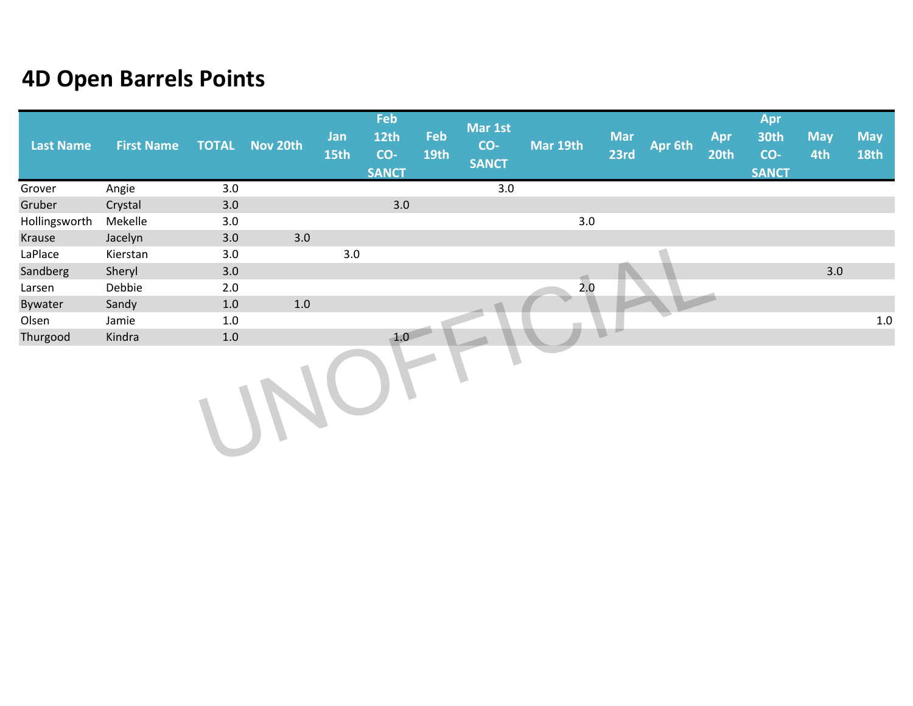| <b>Last Name</b> | <b>First Name</b> |     | <b>TOTAL Nov 20th</b> | Jan<br>15th | Feb<br><b>12th</b><br>CO-<br><b>SANCT</b> | Feb<br><b>19th</b> | Mar 1st<br>$CO-$<br><b>SANCT</b> | Mar 19th | <b>Mar</b><br>23rd | Apr 6th | Apr<br><b>20th</b> | Apr<br><b>30th</b><br>CO-<br><b>SANCT</b> | <b>May</b><br>4th | <b>May</b><br><b>18th</b> |
|------------------|-------------------|-----|-----------------------|-------------|-------------------------------------------|--------------------|----------------------------------|----------|--------------------|---------|--------------------|-------------------------------------------|-------------------|---------------------------|
| Grover           | Angie             | 3.0 |                       |             |                                           |                    | 3.0                              |          |                    |         |                    |                                           |                   |                           |
| Gruber           | Crystal           | 3.0 |                       |             | 3.0                                       |                    |                                  |          |                    |         |                    |                                           |                   |                           |
| Hollingsworth    | Mekelle           | 3.0 |                       |             |                                           |                    |                                  | 3.0      |                    |         |                    |                                           |                   |                           |
| Krause           | Jacelyn           | 3.0 | 3.0                   |             |                                           |                    |                                  |          |                    |         |                    |                                           |                   |                           |
| LaPlace          | Kierstan          | 3.0 |                       | 3.0         |                                           |                    |                                  |          |                    |         |                    |                                           |                   |                           |
| Sandberg         | Sheryl            | 3.0 |                       |             |                                           |                    |                                  |          |                    |         |                    |                                           | 3.0               |                           |
| Larsen           | Debbie            | 2.0 |                       |             |                                           |                    |                                  | 2.0      |                    |         |                    |                                           |                   |                           |
| Bywater          | Sandy             | 1.0 | $1.0\,$               |             |                                           |                    |                                  |          |                    |         |                    |                                           |                   |                           |
| Olsen            | Jamie             | 1.0 |                       |             |                                           |                    |                                  |          |                    |         |                    |                                           |                   | 1.0                       |
| Thurgood         | Kindra            | 1.0 |                       |             | 1.0                                       |                    |                                  |          |                    |         |                    |                                           |                   |                           |
|                  |                   |     |                       |             |                                           |                    |                                  |          |                    |         |                    |                                           |                   |                           |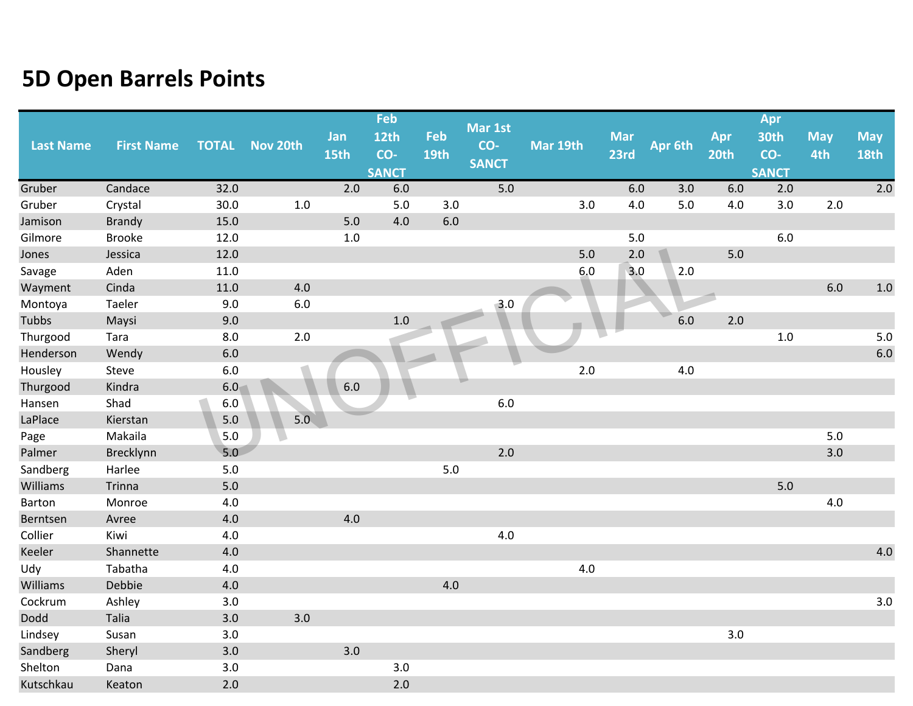|           |                   |              |          |         | Feb              |             |              |          |            |         |       | Apr          |            |             |
|-----------|-------------------|--------------|----------|---------|------------------|-------------|--------------|----------|------------|---------|-------|--------------|------------|-------------|
|           |                   |              |          | Jan     | 12 <sub>th</sub> | Feb         | Mar 1st      |          | <b>Mar</b> |         | Apr   | 30th         | <b>May</b> | <b>May</b>  |
| Last Name | <b>First Name</b> | <b>TOTAL</b> | Nov 20th | 15th    | CO-              | <b>19th</b> | CO-          | Mar 19th | 23rd       | Apr 6th | 20th  | CO-          | 4th        | <b>18th</b> |
|           |                   |              |          |         | <b>SANCT</b>     |             | <b>SANCT</b> |          |            |         |       | <b>SANCT</b> |            |             |
| Gruber    | Candace           | 32.0         |          | 2.0     | $6.0\,$          |             | 5.0          |          | 6.0        | 3.0     | 6.0   | 2.0          |            | 2.0         |
| Gruber    | Crystal           | 30.0         | 1.0      |         | 5.0              | 3.0         |              | 3.0      | 4.0        | 5.0     | 4.0   | 3.0          | 2.0        |             |
| Jamison   | <b>Brandy</b>     | 15.0         |          | $5.0$   | 4.0              | $6.0\,$     |              |          |            |         |       |              |            |             |
| Gilmore   | <b>Brooke</b>     | 12.0         |          | 1.0     |                  |             |              |          | $5.0$      |         |       | 6.0          |            |             |
| Jones     | Jessica           | 12.0         |          |         |                  |             |              | $5.0$    | 2.0        |         | $5.0$ |              |            |             |
| Savage    | Aden              | 11.0         |          |         |                  |             |              | 6.0      | 3.0        | 2.0     |       |              |            |             |
| Wayment   | Cinda             | 11.0         | 4.0      |         |                  |             |              |          |            |         |       |              | 6.0        | 1.0         |
| Montoya   | Taeler            | 9.0          | $6.0\,$  |         |                  |             | $-3.0$       |          |            |         |       |              |            |             |
| Tubbs     | Maysi             | 9.0          |          |         | $1.0$            |             |              |          |            | 6.0     | 2.0   |              |            |             |
| Thurgood  | Tara              | 8.0          | 2.0      |         |                  |             |              |          |            |         |       | 1.0          |            | $5.0$       |
| Henderson | Wendy             | $6.0\,$      |          |         |                  |             |              |          |            |         |       |              |            | $6.0$       |
| Housley   | Steve             | $6.0\,$      |          |         |                  |             |              | 2.0      |            | $4.0\,$ |       |              |            |             |
| Thurgood  | Kindra            | 6.0          |          | $6.0\,$ |                  |             |              |          |            |         |       |              |            |             |
| Hansen    | Shad              | $6.0\,$      |          |         |                  |             | $6.0\,$      |          |            |         |       |              |            |             |
| LaPlace   | Kierstan          | $5.0$        | 5.0      |         |                  |             |              |          |            |         |       |              |            |             |
| Page      | Makaila           | 5.0          |          |         |                  |             |              |          |            |         |       |              | $5.0$      |             |
| Palmer    | Brecklynn         | 5.0          |          |         |                  |             | 2.0          |          |            |         |       |              | 3.0        |             |
| Sandberg  | Harlee            | $5.0$        |          |         |                  | $5.0\,$     |              |          |            |         |       |              |            |             |
| Williams  | Trinna            | $5.0$        |          |         |                  |             |              |          |            |         |       | 5.0          |            |             |
| Barton    | Monroe            | 4.0          |          |         |                  |             |              |          |            |         |       |              | 4.0        |             |
| Berntsen  | Avree             | 4.0          |          | 4.0     |                  |             |              |          |            |         |       |              |            |             |
| Collier   | Kiwi              | 4.0          |          |         |                  |             | 4.0          |          |            |         |       |              |            |             |
| Keeler    | Shannette         | 4.0          |          |         |                  |             |              |          |            |         |       |              |            | 4.0         |
| Udy       | Tabatha           | 4.0          |          |         |                  |             |              | 4.0      |            |         |       |              |            |             |
| Williams  | Debbie            | $4.0\,$      |          |         |                  | $4.0\,$     |              |          |            |         |       |              |            |             |
| Cockrum   | Ashley            | 3.0          |          |         |                  |             |              |          |            |         |       |              |            | 3.0         |
| Dodd      | Talia             | 3.0          | 3.0      |         |                  |             |              |          |            |         |       |              |            |             |
| Lindsey   | Susan             | 3.0          |          |         |                  |             |              |          |            |         | 3.0   |              |            |             |
| Sandberg  | Sheryl            | 3.0          |          | 3.0     |                  |             |              |          |            |         |       |              |            |             |
| Shelton   | Dana              | 3.0          |          |         | 3.0              |             |              |          |            |         |       |              |            |             |
| Kutschkau | Keaton            | 2.0          |          |         | 2.0              |             |              |          |            |         |       |              |            |             |